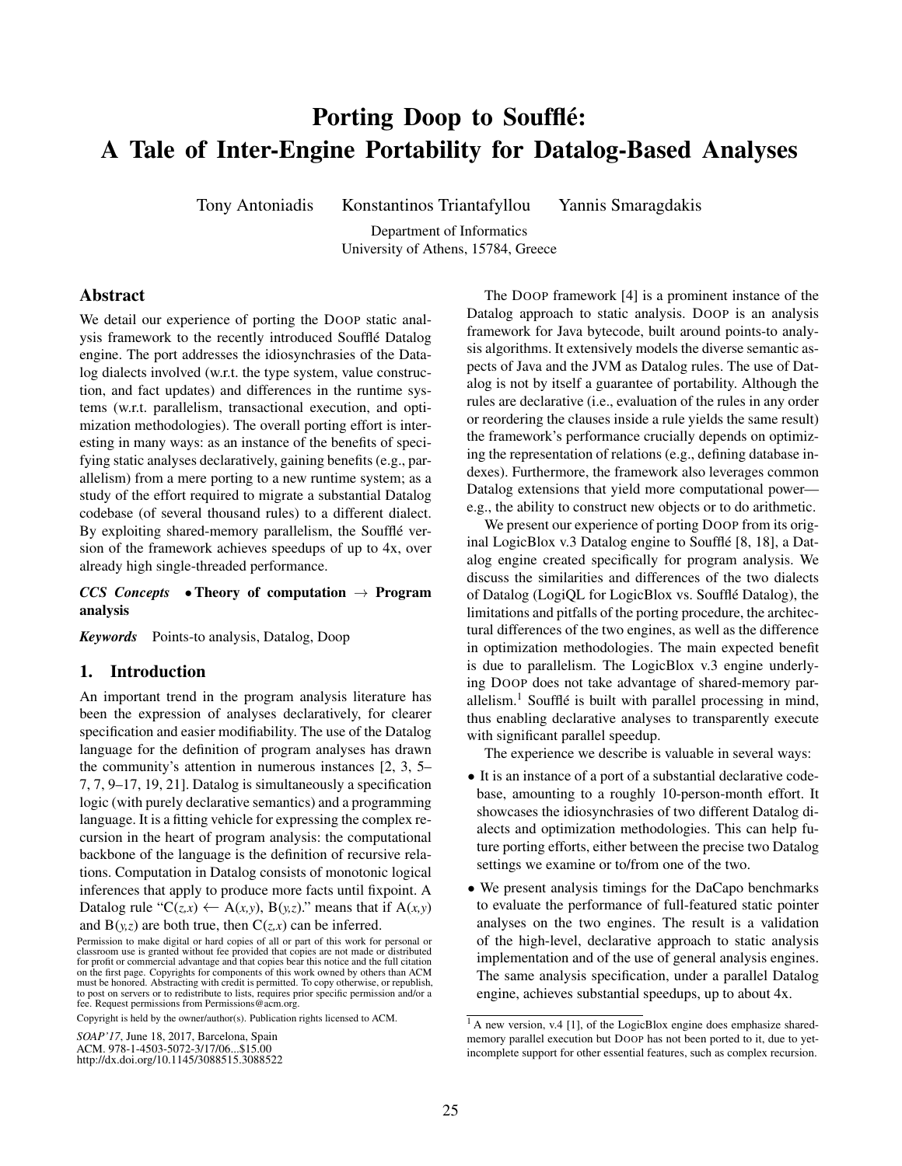# Porting Doop to Soufflé: A Tale of Inter-Engine Portability for Datalog-Based Analyses

Tony Antoniadis Konstantinos Triantafyllou Yannis Smaragdakis

Department of Informatics University of Athens, 15784, Greece

# Abstract

We detail our experience of porting the DOOP static analysis framework to the recently introduced Souffle Datalog ´ engine. The port addresses the idiosynchrasies of the Datalog dialects involved (w.r.t. the type system, value construction, and fact updates) and differences in the runtime systems (w.r.t. parallelism, transactional execution, and optimization methodologies). The overall porting effort is interesting in many ways: as an instance of the benefits of specifying static analyses declaratively, gaining benefits (e.g., parallelism) from a mere porting to a new runtime system; as a study of the effort required to migrate a substantial Datalog codebase (of several thousand rules) to a different dialect. By exploiting shared-memory parallelism, the Soufflé version of the framework achieves speedups of up to 4x, over already high single-threaded performance.

*CCS Concepts* • Theory of computation  $\rightarrow$  Program analysis

*Keywords* Points-to analysis, Datalog, Doop

## 1. Introduction

An important trend in the program analysis literature has been the expression of analyses declaratively, for clearer specification and easier modifiability. The use of the Datalog language for the definition of program analyses has drawn the community's attention in numerous instances [\[2,](#page-5-0) [3,](#page-5-1) [5–](#page-5-2) [7, 7,](#page-5-3) [9](#page-5-4)[–17,](#page-5-5) [19,](#page-5-6) [21\]](#page-5-7). Datalog is simultaneously a specification logic (with purely declarative semantics) and a programming language. It is a fitting vehicle for expressing the complex recursion in the heart of program analysis: the computational backbone of the language is the definition of recursive relations. Computation in Datalog consists of monotonic logical inferences that apply to produce more facts until fixpoint. A Datalog rule " $C(z,x) \leftarrow A(x,y), B(y,z)$ ." means that if  $A(x,y)$ 

and  $B(y,z)$  are both true, then  $C(z,x)$  can be inferred.

Copyright is held by the owner/author(s). Publication rights licensed to ACM.

ACM. 978-1-4503-5072-3/17/06...\$15.00 http://dx.doi.org/10.1145/3088515.3088522

The DOOP framework [\[4\]](#page-5-8) is a prominent instance of the Datalog approach to static analysis. DOOP is an analysis framework for Java bytecode, built around points-to analysis algorithms. It extensively models the diverse semantic aspects of Java and the JVM as Datalog rules. The use of Datalog is not by itself a guarantee of portability. Although the rules are declarative (i.e., evaluation of the rules in any order or reordering the clauses inside a rule yields the same result) the framework's performance crucially depends on optimizing the representation of relations (e.g., defining database indexes). Furthermore, the framework also leverages common Datalog extensions that yield more computational power e.g., the ability to construct new objects or to do arithmetic.

We present our experience of porting DOOP from its orig-inal LogicBlox v.3 Datalog engine to Soufflé [\[8,](#page-5-9) [18\]](#page-5-10), a Datalog engine created specifically for program analysis. We discuss the similarities and differences of the two dialects of Datalog (LogiQL for LogicBlox vs. Souffle Datalog), the ´ limitations and pitfalls of the porting procedure, the architectural differences of the two engines, as well as the difference in optimization methodologies. The main expected benefit is due to parallelism. The LogicBlox v.3 engine underlying DOOP does not take advantage of shared-memory par-allelism.<sup>[1](#page-0-0)</sup> Soufflé is built with parallel processing in mind, thus enabling declarative analyses to transparently execute with significant parallel speedup.

The experience we describe is valuable in several ways:

- It is an instance of a port of a substantial declarative codebase, amounting to a roughly 10-person-month effort. It showcases the idiosynchrasies of two different Datalog dialects and optimization methodologies. This can help future porting efforts, either between the precise two Datalog settings we examine or to/from one of the two.
- We present analysis timings for the DaCapo benchmarks to evaluate the performance of full-featured static pointer analyses on the two engines. The result is a validation of the high-level, declarative approach to static analysis implementation and of the use of general analysis engines. The same analysis specification, under a parallel Datalog engine, achieves substantial speedups, up to about 4x.

Permission to make digital or hard copies of all or part of this work for personal or classroom use is granted without fee provided that copies are not made or distributed<br>for profit or commercial advantage and that copies bear this notice and the full citation<br>on the first page. Copyrights for components o to post on servers or to redistribute to lists, requires prior specific permission and/or a fee. Request permissions from Permissions@acm.org.

*SOAP'17*, June 18, 2017, Barcelona, Spain

<span id="page-0-0"></span><sup>&</sup>lt;sup>1</sup> A new version, v.4 [\[1\]](#page-5-11), of the LogicBlox engine does emphasize sharedmemory parallel execution but DOOP has not been ported to it, due to yetincomplete support for other essential features, such as complex recursion.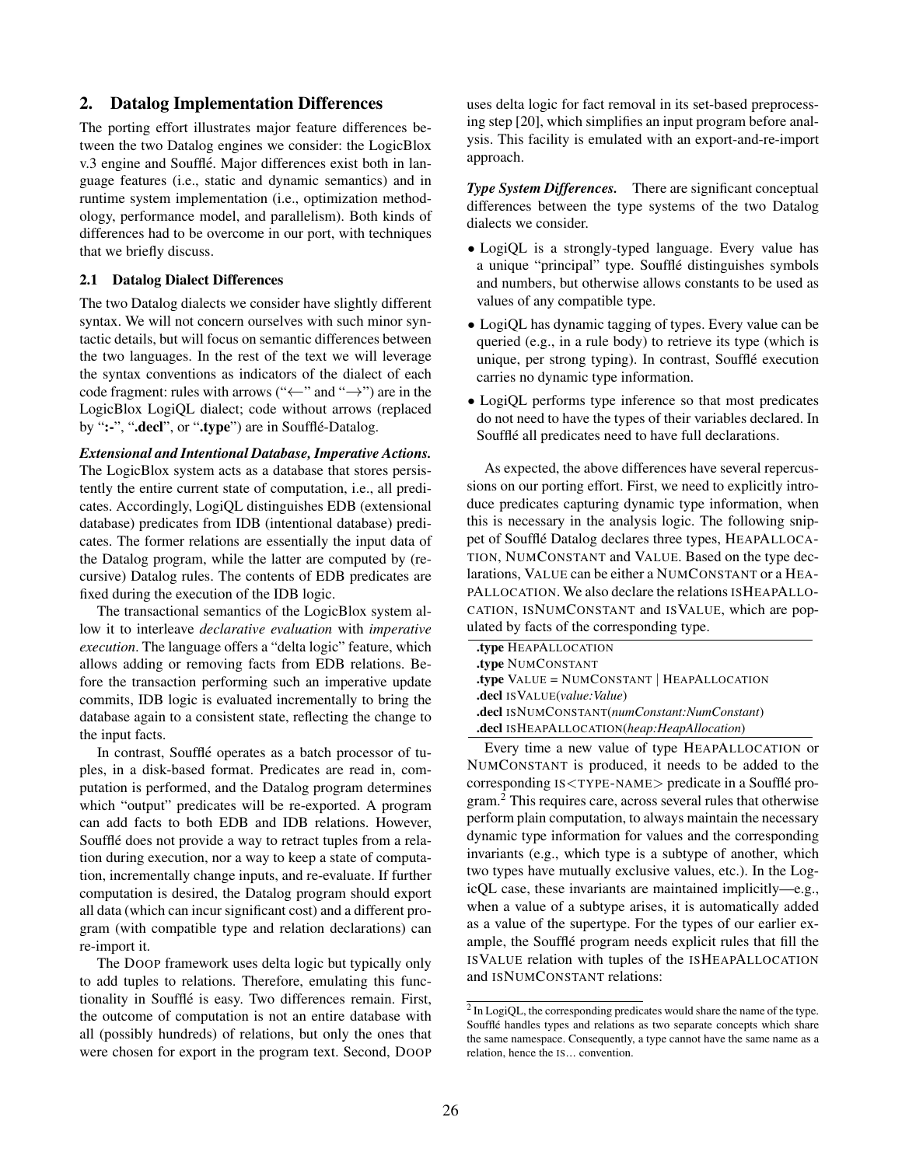## 2. Datalog Implementation Differences

The porting effort illustrates major feature differences between the two Datalog engines we consider: the LogicBlox v.3 engine and Soufflé. Major differences exist both in language features (i.e., static and dynamic semantics) and in runtime system implementation (i.e., optimization methodology, performance model, and parallelism). Both kinds of differences had to be overcome in our port, with techniques that we briefly discuss.

#### 2.1 Datalog Dialect Differences

The two Datalog dialects we consider have slightly different syntax. We will not concern ourselves with such minor syntactic details, but will focus on semantic differences between the two languages. In the rest of the text we will leverage the syntax conventions as indicators of the dialect of each code fragment: rules with arrows (" $\leftarrow$ " and " $\rightarrow$ ") are in the LogicBlox LogiQL dialect; code without arrows (replaced by ":-", ".decl", or ".type") are in Soufflé-Datalog.

#### *Extensional and Intentional Database, Imperative Actions.*

The LogicBlox system acts as a database that stores persistently the entire current state of computation, i.e., all predicates. Accordingly, LogiQL distinguishes EDB (extensional database) predicates from IDB (intentional database) predicates. The former relations are essentially the input data of the Datalog program, while the latter are computed by (recursive) Datalog rules. The contents of EDB predicates are fixed during the execution of the IDB logic.

The transactional semantics of the LogicBlox system allow it to interleave *declarative evaluation* with *imperative execution*. The language offers a "delta logic" feature, which allows adding or removing facts from EDB relations. Before the transaction performing such an imperative update commits, IDB logic is evaluated incrementally to bring the database again to a consistent state, reflecting the change to the input facts.

In contrast, Soufflé operates as a batch processor of tuples, in a disk-based format. Predicates are read in, computation is performed, and the Datalog program determines which "output" predicates will be re-exported. A program can add facts to both EDB and IDB relations. However, Soufflé does not provide a way to retract tuples from a relation during execution, nor a way to keep a state of computation, incrementally change inputs, and re-evaluate. If further computation is desired, the Datalog program should export all data (which can incur significant cost) and a different program (with compatible type and relation declarations) can re-import it.

The DOOP framework uses delta logic but typically only to add tuples to relations. Therefore, emulating this functionality in Soufflé is easy. Two differences remain. First, the outcome of computation is not an entire database with all (possibly hundreds) of relations, but only the ones that were chosen for export in the program text. Second, DOOP uses delta logic for fact removal in its set-based preprocessing step [\[20\]](#page-5-12), which simplifies an input program before analysis. This facility is emulated with an export-and-re-import approach.

*Type System Differences.* There are significant conceptual differences between the type systems of the two Datalog dialects we consider.

- LogiQL is a strongly-typed language. Every value has a unique "principal" type. Souffle distinguishes symbols ´ and numbers, but otherwise allows constants to be used as values of any compatible type.
- LogiQL has dynamic tagging of types. Every value can be queried (e.g., in a rule body) to retrieve its type (which is unique, per strong typing). In contrast, Souffle execution ´ carries no dynamic type information.
- LogiQL performs type inference so that most predicates do not need to have the types of their variables declared. In Soufflé all predicates need to have full declarations.

As expected, the above differences have several repercussions on our porting effort. First, we need to explicitly introduce predicates capturing dynamic type information, when this is necessary in the analysis logic. The following snippet of Soufflé Datalog declares three types, HEAPALLOCA-TION, NUMCONSTANT and VALUE. Based on the type declarations, VALUE can be either a NUMCONSTANT or a HEA-PALLOCATION. We also declare the relations ISHEAPALLO-CATION, ISNUMCONSTANT and ISVALUE, which are populated by facts of the corresponding type.

| type HEAPALLOCATION                                 |
|-----------------------------------------------------|
| type NUMCONSTANT                                    |
| <b>.type VALUE = NUMCONSTANT   HEAPALLOCATION</b>   |
| <b>decl</b> IS VALUE( <i>value</i> : <i>Value</i> ) |
| .decl ISNUMCONSTANT(numConstant:NumConstant)        |
| .decl ISHEAPALLOCATION(heap:HeapAllocation)         |

Every time a new value of type HEAPALLOCATION or NUMCONSTANT is produced, it needs to be added to the corresponding IS<TYPE-NAME> predicate in a Soufflé program.[2](#page-1-0) This requires care, across several rules that otherwise perform plain computation, to always maintain the necessary dynamic type information for values and the corresponding invariants (e.g., which type is a subtype of another, which two types have mutually exclusive values, etc.). In the LogicQL case, these invariants are maintained implicitly—e.g., when a value of a subtype arises, it is automatically added as a value of the supertype. For the types of our earlier example, the Soufflé program needs explicit rules that fill the ISVALUE relation with tuples of the ISHEAPALLOCATION and ISNUMCONSTANT relations:

<span id="page-1-0"></span> $2 \text{ In }$  LogiQL, the corresponding predicates would share the name of the type. Soufflé handles types and relations as two separate concepts which share the same namespace. Consequently, a type cannot have the same name as a relation, hence the IS... convention.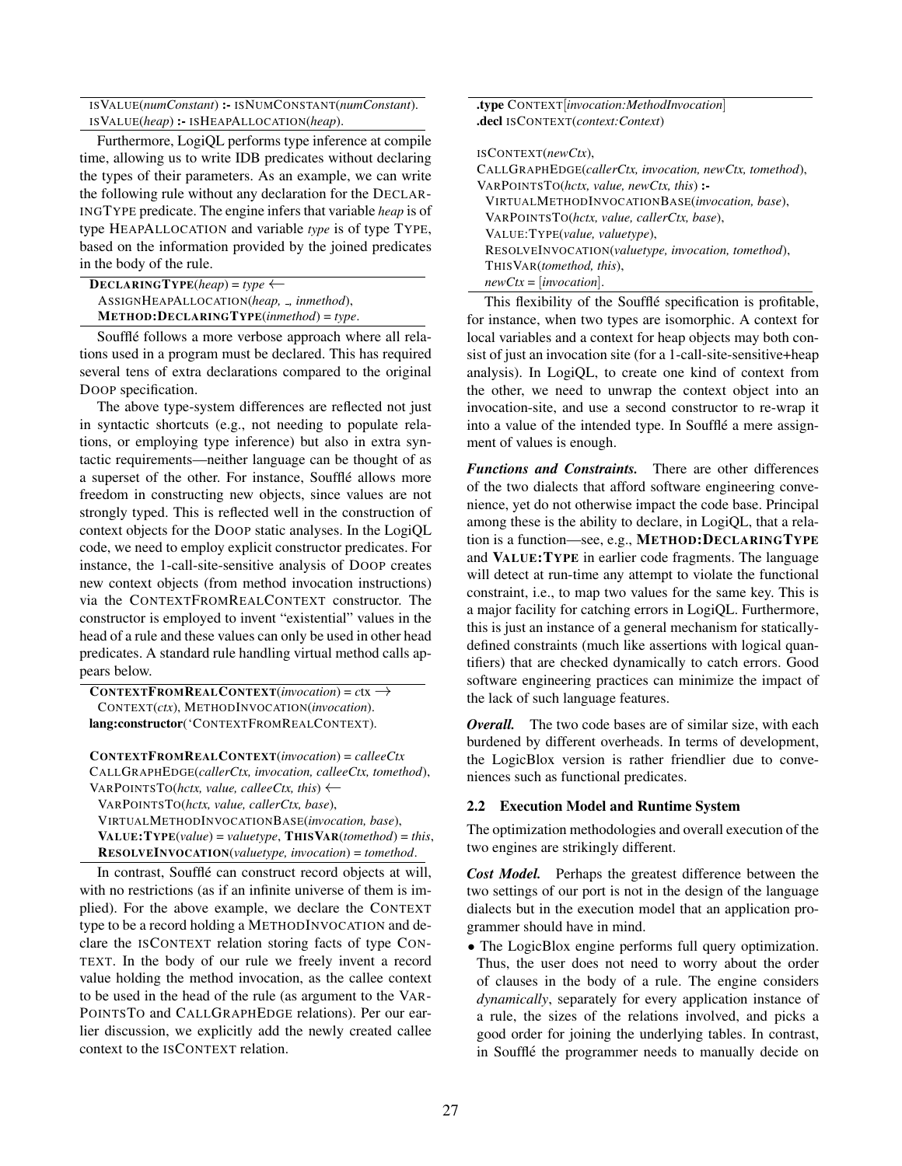ISVALUE(*numConstant*) :- ISNUMCONSTANT(*numConstant*). ISVALUE(*heap*) :- ISHEAPALLOCATION(*heap*).

Furthermore, LogiQL performs type inference at compile time, allowing us to write IDB predicates without declaring the types of their parameters. As an example, we can write the following rule without any declaration for the DECLAR-INGTYPE predicate. The engine infers that variable *heap* is of type HEAPALLOCATION and variable *type* is of type TYPE, based on the information provided by the joined predicates in the body of the rule.

| $\bf DECLARINGType(heap) = type \leftarrow$ |
|---------------------------------------------|
| ASSIGNHEAPALLOCATION(heap, _, inmethod),    |
| $MENT. DECLARINGType (in method) = type.$   |

Soufflé follows a more verbose approach where all relations used in a program must be declared. This has required several tens of extra declarations compared to the original DOOP specification.

The above type-system differences are reflected not just in syntactic shortcuts (e.g., not needing to populate relations, or employing type inference) but also in extra syntactic requirements—neither language can be thought of as a superset of the other. For instance, Soufflé allows more freedom in constructing new objects, since values are not strongly typed. This is reflected well in the construction of context objects for the DOOP static analyses. In the LogiQL code, we need to employ explicit constructor predicates. For instance, the 1-call-site-sensitive analysis of DOOP creates new context objects (from method invocation instructions) via the CONTEXTFROMREALCONTEXT constructor. The constructor is employed to invent "existential" values in the head of a rule and these values can only be used in other head predicates. A standard rule handling virtual method calls appears below.

 $CONTEXTFromREALCONTEXT(*invocation*) =  $ctx \rightarrow$$ CONTEXT(*ctx*), METHODINVOCATION(*invocation*). lang:constructor('CONTEXTFROMREALCONTEXT).

CONTEXTFROMREALCONTEXT(*invocation*) = *calleeCtx* CALLGRAPHEDGE(*callerCtx, invocation, calleeCtx, tomethod*), <sup>V</sup>ARPOINTSTO(*hctx, value, calleeCtx, this*) ←

VARPOINTSTO(*hctx, value, callerCtx, base*), VIRTUALMETHODINVOCATIONBASE(*invocation, base*), VALUE:TYPE(*value*) = *valuetype*, THISVAR(*tomethod*) = *this*, RESOLVEINVOCATION(*valuetype, invocation*) = *tomethod*.

In contrast, Soufflé can construct record objects at will, with no restrictions (as if an infinite universe of them is implied). For the above example, we declare the CONTEXT type to be a record holding a METHODINVOCATION and declare the ISCONTEXT relation storing facts of type CON-TEXT. In the body of our rule we freely invent a record value holding the method invocation, as the callee context to be used in the head of the rule (as argument to the VAR-POINTSTO and CALLGRAPHEDGE relations). Per our earlier discussion, we explicitly add the newly created callee context to the ISCONTEXT relation.

.type CONTEXT[*invocation:MethodInvocation*] .decl ISCONTEXT(*context:Context*) ISCONTEXT(*newCtx*), CALLGRAPHEDGE(*callerCtx, invocation, newCtx, tomethod*), VARPOINTSTO(*hctx, value, newCtx, this*) :-

VIRTUALMETHODINVOCATIONBASE(*invocation, base*), VARPOINTSTO(*hctx, value, callerCtx, base*), VALUE:TYPE(*value, valuetype*), RESOLVEINVOCATION(*valuetype, invocation, tomethod*), THISVAR(*tomethod, this*), *newCtx* = [*invocation*].

This flexibility of the Souffle specification is profitable, ´ for instance, when two types are isomorphic. A context for local variables and a context for heap objects may both consist of just an invocation site (for a 1-call-site-sensitive+heap analysis). In LogiQL, to create one kind of context from the other, we need to unwrap the context object into an invocation-site, and use a second constructor to re-wrap it into a value of the intended type. In Soufflé a mere assignment of values is enough.

*Functions and Constraints.* There are other differences of the two dialects that afford software engineering convenience, yet do not otherwise impact the code base. Principal among these is the ability to declare, in LogiQL, that a relation is a function—see, e.g., METHOD:DECLARINGTYPE and VALUE:TYPE in earlier code fragments. The language will detect at run-time any attempt to violate the functional constraint, i.e., to map two values for the same key. This is a major facility for catching errors in LogiQL. Furthermore, this is just an instance of a general mechanism for staticallydefined constraints (much like assertions with logical quantifiers) that are checked dynamically to catch errors. Good software engineering practices can minimize the impact of the lack of such language features.

*Overall.* The two code bases are of similar size, with each burdened by different overheads. In terms of development, the LogicBlox version is rather friendlier due to conveniences such as functional predicates.

#### 2.2 Execution Model and Runtime System

The optimization methodologies and overall execution of the two engines are strikingly different.

*Cost Model.* Perhaps the greatest difference between the two settings of our port is not in the design of the language dialects but in the execution model that an application programmer should have in mind.

• The LogicBlox engine performs full query optimization. Thus, the user does not need to worry about the order of clauses in the body of a rule. The engine considers *dynamically*, separately for every application instance of a rule, the sizes of the relations involved, and picks a good order for joining the underlying tables. In contrast, in Soufflé the programmer needs to manually decide on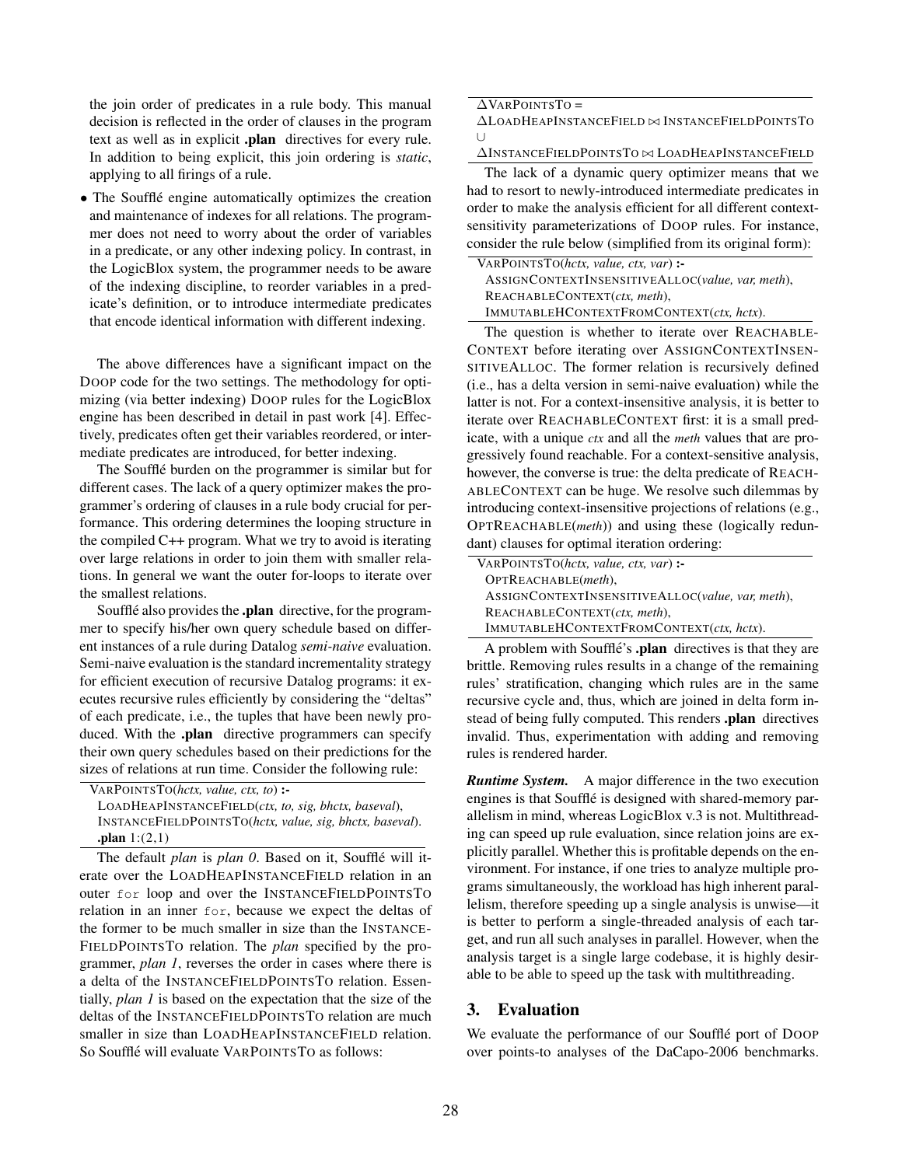the join order of predicates in a rule body. This manual decision is reflected in the order of clauses in the program text as well as in explicit .plan directives for every rule. In addition to being explicit, this join ordering is *static*, applying to all firings of a rule.

• The Soufflé engine automatically optimizes the creation and maintenance of indexes for all relations. The programmer does not need to worry about the order of variables in a predicate, or any other indexing policy. In contrast, in the LogicBlox system, the programmer needs to be aware of the indexing discipline, to reorder variables in a predicate's definition, or to introduce intermediate predicates that encode identical information with different indexing.

The above differences have a significant impact on the DOOP code for the two settings. The methodology for optimizing (via better indexing) DOOP rules for the LogicBlox engine has been described in detail in past work [\[4\]](#page-5-8). Effectively, predicates often get their variables reordered, or intermediate predicates are introduced, for better indexing.

The Soufflé burden on the programmer is similar but for different cases. The lack of a query optimizer makes the programmer's ordering of clauses in a rule body crucial for performance. This ordering determines the looping structure in the compiled C++ program. What we try to avoid is iterating over large relations in order to join them with smaller relations. In general we want the outer for-loops to iterate over the smallest relations.

Soufflé also provides the **.plan** directive, for the programmer to specify his/her own query schedule based on different instances of a rule during Datalog *semi-naive* evaluation. Semi-naive evaluation is the standard incrementality strategy for efficient execution of recursive Datalog programs: it executes recursive rules efficiently by considering the "deltas" of each predicate, i.e., the tuples that have been newly produced. With the .plan directive programmers can specify their own query schedules based on their predictions for the sizes of relations at run time. Consider the following rule:

The default *plan* is *plan 0*. Based on it, Soufflé will iterate over the LOADHEAPINSTANCEFIELD relation in an outer for loop and over the INSTANCEFIELDPOINTSTO relation in an inner for, because we expect the deltas of the former to be much smaller in size than the INSTANCE-FIELDPOINTSTO relation. The *plan* specified by the programmer, *plan 1*, reverses the order in cases where there is a delta of the INSTANCEFIELDPOINTSTO relation. Essentially, *plan 1* is based on the expectation that the size of the deltas of the INSTANCEFIELDPOINTSTO relation are much smaller in size than LOADHEAPINSTANCEFIELD relation. So Soufflé will evaluate VARPOINTSTO as follows:

#### $\Delta$ VARPOINTSTO =

∆LOADHEAPINSTANCEFIELD ⊲⊳ INSTANCEFIELDPOINTST<sup>O</sup> ∪

∆INSTANCEFIELDPOINTST<sup>O</sup> ⊲⊳ LOADHEAPINSTANCEFIELD

The lack of a dynamic query optimizer means that we had to resort to newly-introduced intermediate predicates in order to make the analysis efficient for all different contextsensitivity parameterizations of DOOP rules. For instance, consider the rule below (simplified from its original form):

| VARPOINTSTO(hctx, value, ctx, var) :-            |  |
|--------------------------------------------------|--|
| ASSIGNCONTEXTINSENSITIVEALLOC(value, var, meth), |  |
| REACHABLECONTEXT(ctx, meth),                     |  |
| IMMUTABLEHCONTEXTFROMCONTEXT(ctx, hctx).         |  |

The question is whether to iterate over REACHABLE-CONTEXT before iterating over ASSIGNCONTEXTINSEN-SITIVEALLOC. The former relation is recursively defined (i.e., has a delta version in semi-naive evaluation) while the latter is not. For a context-insensitive analysis, it is better to iterate over REACHABLECONTEXT first: it is a small predicate, with a unique *ctx* and all the *meth* values that are progressively found reachable. For a context-sensitive analysis, however, the converse is true: the delta predicate of REACH-ABLECONTEXT can be huge. We resolve such dilemmas by introducing context-insensitive projections of relations (e.g., OPTREACHABLE(*meth*)) and using these (logically redundant) clauses for optimal iteration ordering:

| VARPOINTSTO(hctx, value, ctx, var) :-            |
|--------------------------------------------------|
| OPTREACHABLE(meth),                              |
| ASSIGNCONTEXTINSENSITIVEALLOC(value, var, meth), |
| REACHABLECONTEXT(ctx, meth),                     |
| IMMUTABLEHCONTEXTFROMCONTEXT(ctx, hctx).         |

A problem with Souffle's **.plan** directives is that they are brittle. Removing rules results in a change of the remaining rules' stratification, changing which rules are in the same recursive cycle and, thus, which are joined in delta form instead of being fully computed. This renders .plan directives invalid. Thus, experimentation with adding and removing rules is rendered harder.

*Runtime System.* A major difference in the two execution engines is that Soufflé is designed with shared-memory parallelism in mind, whereas LogicBlox v.3 is not. Multithreading can speed up rule evaluation, since relation joins are explicitly parallel. Whether this is profitable depends on the environment. For instance, if one tries to analyze multiple programs simultaneously, the workload has high inherent parallelism, therefore speeding up a single analysis is unwise—it is better to perform a single-threaded analysis of each target, and run all such analyses in parallel. However, when the analysis target is a single large codebase, it is highly desirable to be able to speed up the task with multithreading.

# 3. Evaluation

We evaluate the performance of our Soufflé port of DOOP over points-to analyses of the DaCapo-2006 benchmarks.

VARPOINTSTO(*hctx, value, ctx, to*) :- LOADHEAPINSTANCEFIELD(*ctx, to, sig, bhctx, baseval*), INSTANCEFIELDPOINTSTO(*hctx, value, sig, bhctx, baseval*). .plan  $1:(2,1)$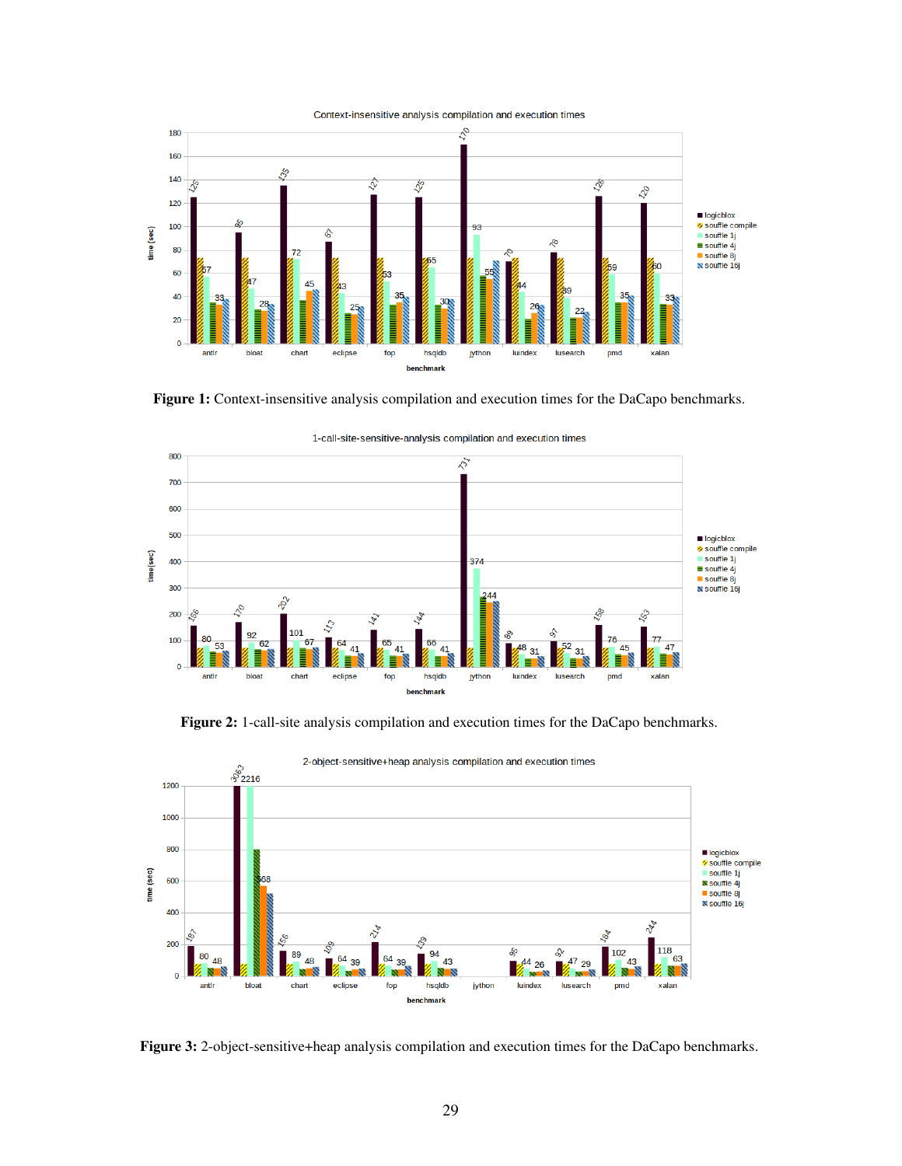<span id="page-4-0"></span>

Figure 1: Context-insensitive analysis compilation and execution times for the DaCapo benchmarks.



1-call-site-sensitive-analysis compilation and execution times

Figure 2: 1-call-site analysis compilation and execution times for the DaCapo benchmarks.

<span id="page-4-1"></span>

Figure 3: 2-object-sensitive+heap analysis compilation and execution times for the DaCapo benchmarks.